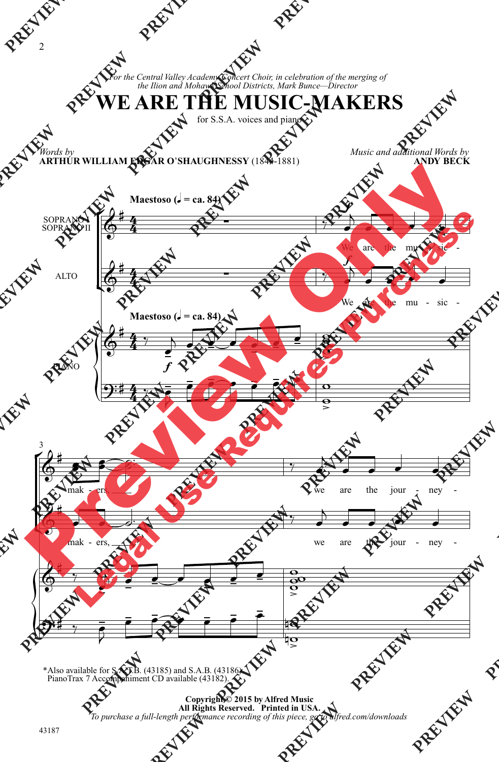For the Central Valley Academy Concert Choir, in celebration of the merging of *the Ilion and Mohawk School Districts, Mark Bunce—Director* 

**WE ARE THE MUSIC-MAKERS**

for S.S.A. voices and piano



\*Also available for S.A.T.B. (43185) and S.A.B. (43186). PianoTrax 7 Accompaniment CD available (43182).

> **Copyright © 2015 by Alfred Music All Rights Reserved. Printed in USA.** *To purchase a full-length performance recording of this piece, go to alfred.com/downloads*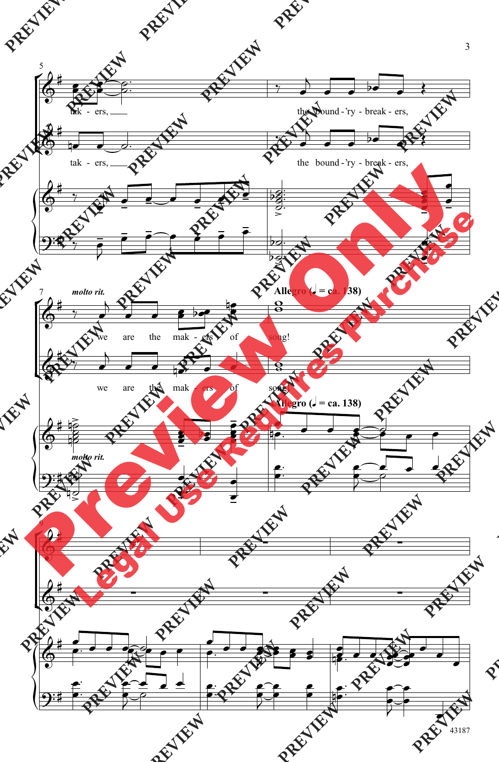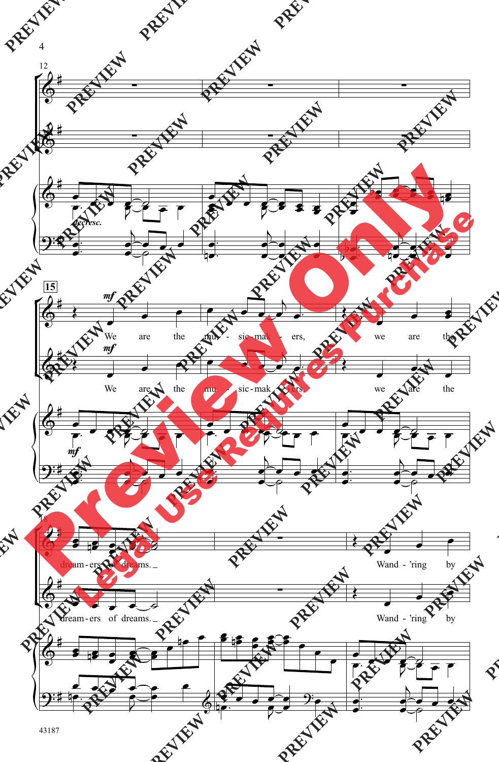

43187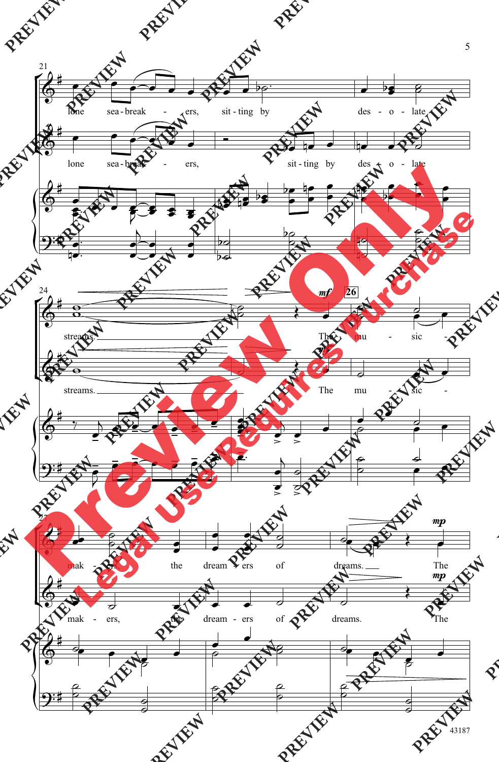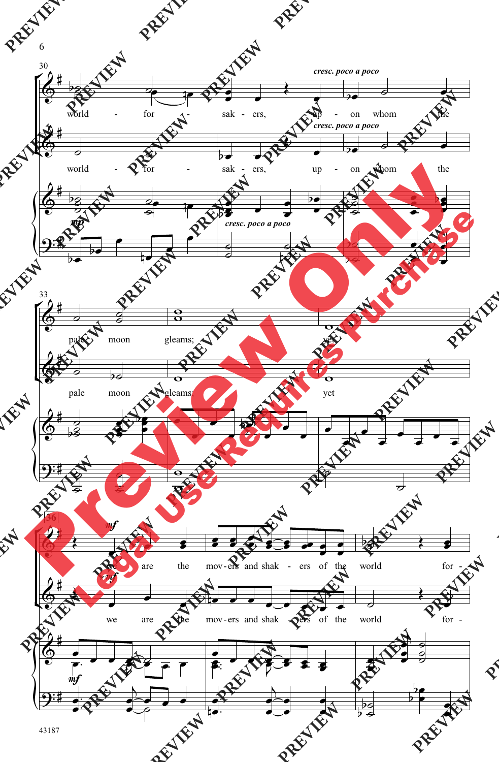

6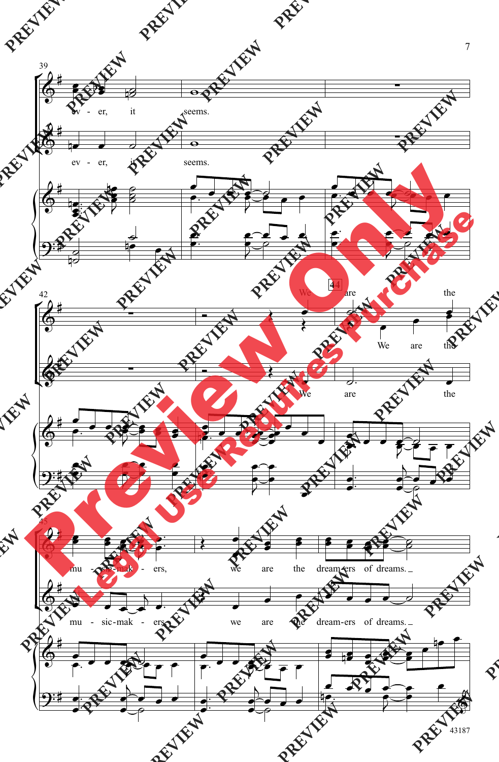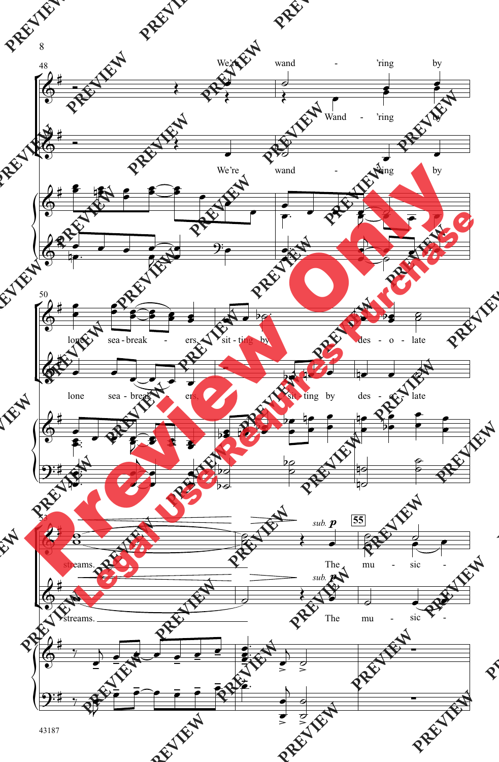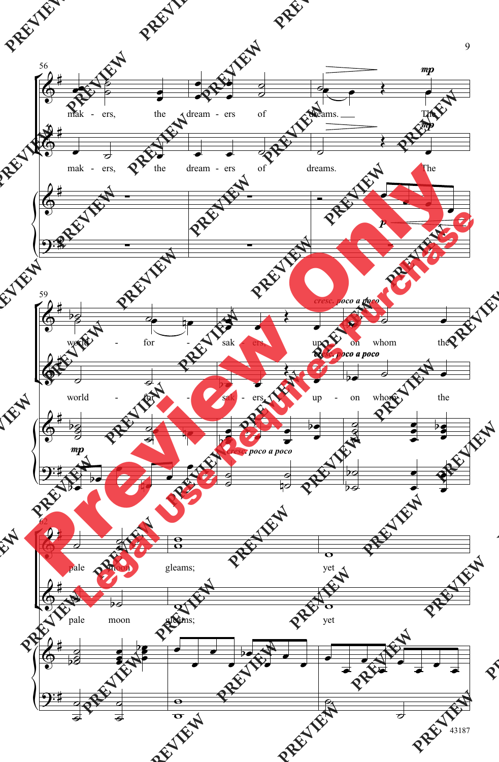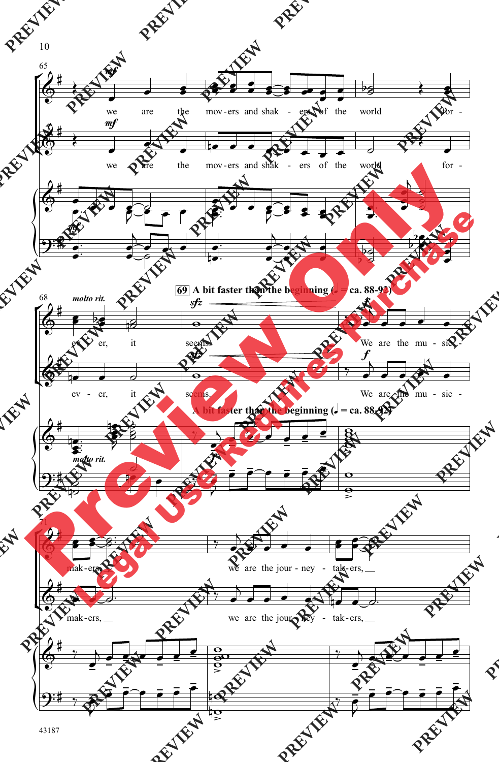